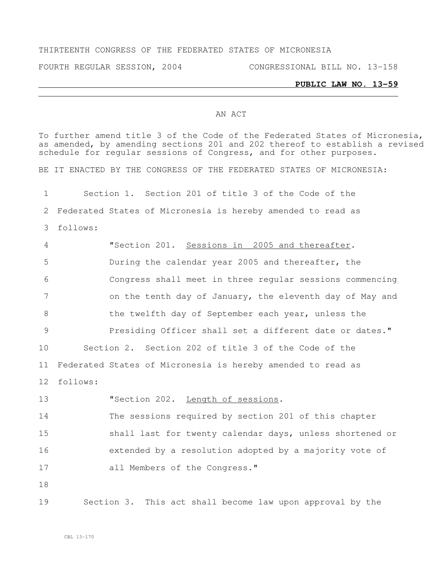## THIRTEENTH CONGRESS OF THE FEDERATED STATES OF MICRONESIA

FOURTH REGULAR SESSION, 2004 CONGRESSIONAL BILL NO. 13-158

## **PUBLIC LAW NO. 13-59**

## AN ACT

To further amend title 3 of the Code of the Federated States of Micronesia, as amended, by amending sections 201 and 202 thereof to establish a revised schedule for regular sessions of Congress, and for other purposes. BE IT ENACTED BY THE CONGRESS OF THE FEDERATED STATES OF MICRONESIA: Section 1. Section 201 of title 3 of the Code of the Federated States of Micronesia is hereby amended to read as follows: "Section 201. Sessions in 2005 and thereafter. During the calendar year 2005 and thereafter, the Congress shall meet in three regular sessions commencing **19 on the tenth day of January, the eleventh day of May and** 8 the twelfth day of September each year, unless the Presiding Officer shall set a different date or dates." Section 2. Section 202 of title 3 of the Code of the Federated States of Micronesia is hereby amended to read as follows: **"Section 202.** Length of sessions. The sessions required by section 201 of this chapter shall last for twenty calendar days, unless shortened or extended by a resolution adopted by a majority vote of all Members of the Congress." Section 3. This act shall become law upon approval by the